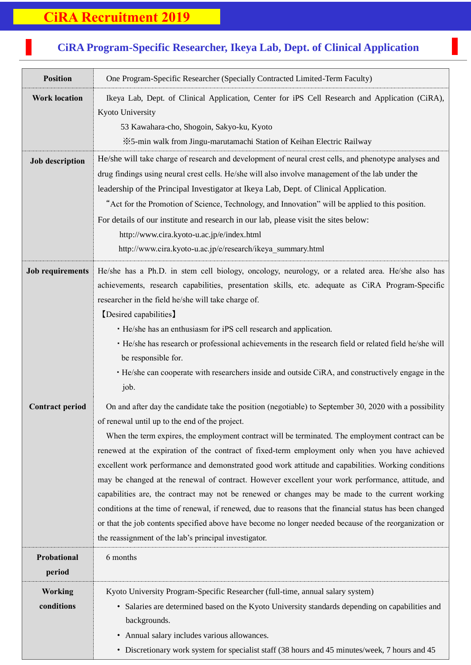## **CiRA Recruitment 2019**

J.

## **CiRA Program-Specific Researcher, Ikeya Lab, Dept. of Clinical Application**

7<br>7<br>7

| <b>Position</b>              | One Program-Specific Researcher (Specially Contracted Limited-Term Faculty)                                                                                                                                                                                                                                                                                                                                                                                                                                                                                                                                                                                                                                                                                                                                                                                                                                                                                   |
|------------------------------|---------------------------------------------------------------------------------------------------------------------------------------------------------------------------------------------------------------------------------------------------------------------------------------------------------------------------------------------------------------------------------------------------------------------------------------------------------------------------------------------------------------------------------------------------------------------------------------------------------------------------------------------------------------------------------------------------------------------------------------------------------------------------------------------------------------------------------------------------------------------------------------------------------------------------------------------------------------|
| <b>Work location</b>         | Ikeya Lab, Dept. of Clinical Application, Center for iPS Cell Research and Application (CiRA),<br>Kyoto University<br>53 Kawahara-cho, Shogoin, Sakyo-ku, Kyoto<br>※5-min walk from Jingu-marutamachi Station of Keihan Electric Railway                                                                                                                                                                                                                                                                                                                                                                                                                                                                                                                                                                                                                                                                                                                      |
| <b>Job description</b>       | He/she will take charge of research and development of neural crest cells, and phenotype analyses and<br>drug findings using neural crest cells. He/she will also involve management of the lab under the<br>leadership of the Principal Investigator at Ikeya Lab, Dept. of Clinical Application.<br>"Act for the Promotion of Science, Technology, and Innovation" will be applied to this position.<br>For details of our institute and research in our lab, please visit the sites below:<br>http://www.cira.kyoto-u.ac.jp/e/index.html<br>http://www.cira.kyoto-u.ac.jp/e/research/ikeya summary.html                                                                                                                                                                                                                                                                                                                                                    |
| <b>Job requirements</b>      | He/she has a Ph.D. in stem cell biology, oncology, neurology, or a related area. He/she also has<br>achievements, research capabilities, presentation skills, etc. adequate as CiRA Program-Specific<br>researcher in the field he/she will take charge of.<br>[Desired capabilities]<br>• He/she has an enthusiasm for iPS cell research and application.<br>· He/she has research or professional achievements in the research field or related field he/she will<br>be responsible for.<br>· He/she can cooperate with researchers inside and outside CiRA, and constructively engage in the<br>job.                                                                                                                                                                                                                                                                                                                                                       |
| <b>Contract period</b>       | On and after day the candidate take the position (negotiable) to September 30, 2020 with a possibility<br>of renewal until up to the end of the project.<br>When the term expires, the employment contract will be terminated. The employment contract can be<br>renewed at the expiration of the contract of fixed-term employment only when you have achieved<br>excellent work performance and demonstrated good work attitude and capabilities. Working conditions<br>may be changed at the renewal of contract. However excellent your work performance, attitude, and<br>capabilities are, the contract may not be renewed or changes may be made to the current working<br>conditions at the time of renewal, if renewed, due to reasons that the financial status has been changed<br>or that the job contents specified above have become no longer needed because of the reorganization or<br>the reassignment of the lab's principal investigator. |
| Probational<br>period        | 6 months                                                                                                                                                                                                                                                                                                                                                                                                                                                                                                                                                                                                                                                                                                                                                                                                                                                                                                                                                      |
| <b>Working</b><br>conditions | Kyoto University Program-Specific Researcher (full-time, annual salary system)<br>• Salaries are determined based on the Kyoto University standards depending on capabilities and<br>backgrounds.<br>• Annual salary includes various allowances.<br>• Discretionary work system for specialist staff (38 hours and 45 minutes/week, 7 hours and 45                                                                                                                                                                                                                                                                                                                                                                                                                                                                                                                                                                                                           |